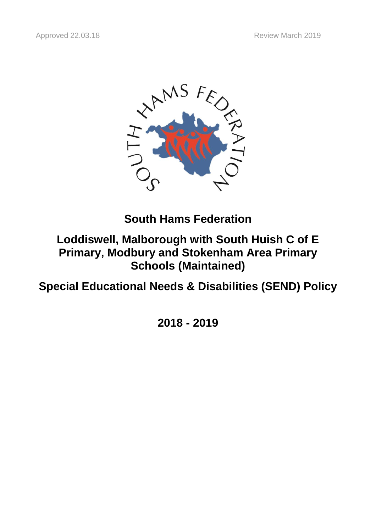

**South Hams Federation**

# **Loddiswell, Malborough with South Huish C of E Primary, Modbury and Stokenham Area Primary Schools (Maintained)**

**Special Educational Needs & Disabilities (SEND) Policy**

**2018 - 2019**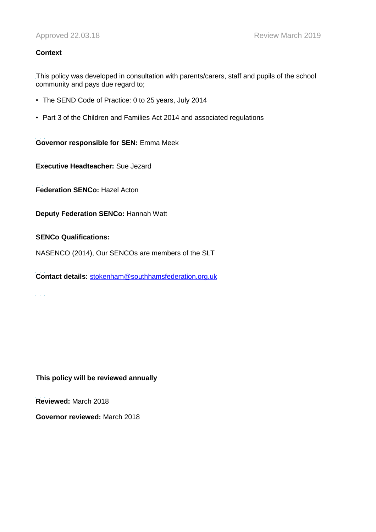## **Context**

L This policy was developed in consultation with parents/carers, staff and pupils of the school community and pays due regard to;

- The SEND Code of Practice: 0 to 25 years, July 2014
- Part 3 of the Children and Families Act 2014 and associated regulations

ĺ. **Governor responsible for SEN:** Emma Meek

L **Executive Headteacher:** Sue Jezard

l, **Federation SENCo:** Hazel Acton

**Deputy Federation SENCo:** Hannah Watt

#### ĺ. **SENCo Qualifications:**

NASENCO (2014), Our SENCOs are members of the SLT

ĺ. **Contact details:** [stokenham@southhamsfederation.org.uk](mailto:stokenham@southhamsfederation.org.uk)

 $\mathcal{L}^{\pm}$  and

**This policy will be reviewed annually**

L **Reviewed:** March 2018

**Governor reviewed:** March 2018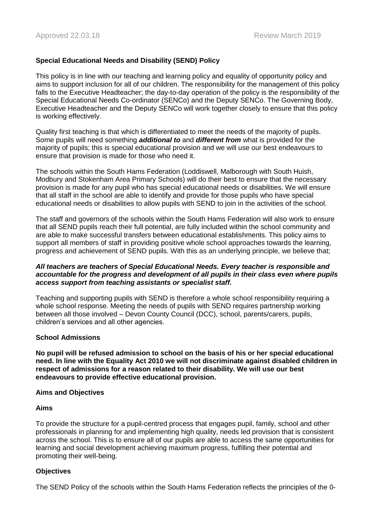## **Special Educational Needs and Disability (SEND) Policy**

This policy is in line with our teaching and learning policy and equality of opportunity policy and aims to support inclusion for all of our children. The responsibility for the management of this policy falls to the Executive Headteacher; the day-to-day operation of the policy is the responsibility of the Special Educational Needs Co-ordinator (SENCo) and the Deputy SENCo. The Governing Body, Executive Headteacher and the Deputy SENCo will work together closely to ensure that this policy is working effectively.

Quality first teaching is that which is differentiated to meet the needs of the majority of pupils. Some pupils will need something *additional to* and *different from* what is provided for the majority of pupils; this is special educational provision and we will use our best endeavours to ensure that provision is made for those who need it.

The schools within the South Hams Federation (Loddiswell, Malborough with South Huish, Modbury and Stokenham Area Primary Schools) will do their best to ensure that the necessary provision is made for any pupil who has special educational needs or disabilities. We will ensure that all staff in the school are able to identify and provide for those pupils who have special educational needs or disabilities to allow pupils with SEND to join in the activities of the school.

The staff and governors of the schools within the South Hams Federation will also work to ensure that all SEND pupils reach their full potential, are fully included within the school community and are able to make successful transfers between educational establishments. This policy aims to support all members of staff in providing positive whole school approaches towards the learning, progress and achievement of SEND pupils. With this as an underlying principle, we believe that;

#### *All teachers are teachers of Special Educational Needs. Every teacher is responsible and accountable for the progress and development of all pupils in their class even where pupils access support from teaching assistants or specialist staff.*

Teaching and supporting pupils with SEND is therefore a whole school responsibility requiring a whole school response. Meeting the needs of pupils with SEND requires partnership working between all those involved – Devon County Council (DCC), school, parents/carers, pupils, children's services and all other agencies.

## **School Admissions**

**No pupil will be refused admission to school on the basis of his or her special educational need. In line with the Equality Act 2010 we will not discriminate against disabled children in respect of admissions for a reason related to their disability. We will use our best endeavours to provide effective educational provision.**

#### **Aims and Objectives**

## **Aims**

To provide the structure for a pupil-centred process that engages pupil, family, school and other professionals in planning for and implementing high quality, needs led provision that is consistent across the school. This is to ensure all of our pupils are able to access the same opportunities for learning and social development achieving maximum progress, fulfilling their potential and promoting their well-being.

## **Objectives**

The SEND Policy of the schools within the South Hams Federation reflects the principles of the 0-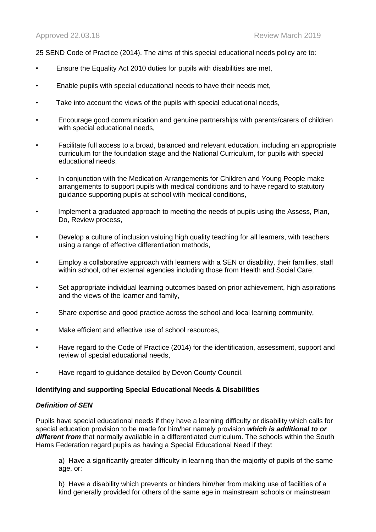25 SEND Code of Practice (2014). The aims of this special educational needs policy are to:

- Ensure the Equality Act 2010 duties for pupils with disabilities are met,
- Enable pupils with special educational needs to have their needs met,
- Take into account the views of the pupils with special educational needs,
- Encourage good communication and genuine partnerships with parents/carers of children with special educational needs,
- Facilitate full access to a broad, balanced and relevant education, including an appropriate curriculum for the foundation stage and the National Curriculum, for pupils with special educational needs,
- In conjunction with the Medication Arrangements for Children and Young People make arrangements to support pupils with medical conditions and to have regard to statutory guidance supporting pupils at school with medical conditions,
- Implement a graduated approach to meeting the needs of pupils using the Assess, Plan, Do, Review process,
- Develop a culture of inclusion valuing high quality teaching for all learners, with teachers using a range of effective differentiation methods,
- Employ a collaborative approach with learners with a SEN or disability, their families, staff within school, other external agencies including those from Health and Social Care,
- Set appropriate individual learning outcomes based on prior achievement, high aspirations and the views of the learner and family,
- Share expertise and good practice across the school and local learning community,
- Make efficient and effective use of school resources,
- Have regard to the Code of Practice (2014) for the identification, assessment, support and review of special educational needs,
- Have regard to guidance detailed by Devon County Council.

#### **Identifying and supporting Special Educational Needs & Disabilities**

#### *Definition of SEN*

Pupils have special educational needs if they have a learning difficulty or disability which calls for special education provision to be made for him/her namely provision *which is additional to or*  different from that normally available in a differentiated curriculum. The schools within the South Hams Federation regard pupils as having a Special Educational Need if they:

a) Have a significantly greater difficulty in learning than the majority of pupils of the same age, or;

b) Have a disability which prevents or hinders him/her from making use of facilities of a kind generally provided for others of the same age in mainstream schools or mainstream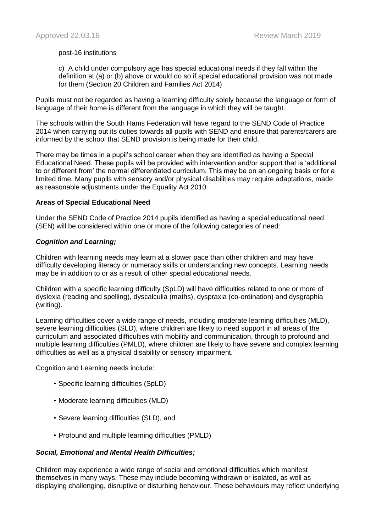#### post-16 institutions

c) A child under compulsory age has special educational needs if they fall within the definition at (a) or (b) above or would do so if special educational provision was not made for them (Section 20 Children and Families Act 2014)

Pupils must not be regarded as having a learning difficulty solely because the language or form of language of their home is different from the language in which they will be taught.

The schools within the South Hams Federation will have regard to the SEND Code of Practice 2014 when carrying out its duties towards all pupils with SEND and ensure that parents/carers are informed by the school that SEND provision is being made for their child.

There may be times in a pupil's school career when they are identified as having a Special Educational Need. These pupils will be provided with intervention and/or support that is 'additional to or different from' the normal differentiated curriculum. This may be on an ongoing basis or for a limited time. Many pupils with sensory and/or physical disabilities may require adaptations, made as reasonable adjustments under the Equality Act 2010.

#### **Areas of Special Educational Need**

Under the SEND Code of Practice 2014 pupils identified as having a special educational need (SEN) will be considered within one or more of the following categories of need:

#### *Cognition and Learning;*

Children with learning needs may learn at a slower pace than other children and may have difficulty developing literacy or numeracy skills or understanding new concepts. Learning needs may be in addition to or as a result of other special educational needs.

Children with a specific learning difficulty (SpLD) will have difficulties related to one or more of dyslexia (reading and spelling), dyscalculia (maths), dyspraxia (co-ordination) and dysgraphia (writing).

Learning difficulties cover a wide range of needs, including moderate learning difficulties (MLD), severe learning difficulties (SLD), where children are likely to need support in all areas of the curriculum and associated difficulties with mobility and communication, through to profound and multiple learning difficulties (PMLD), where children are likely to have severe and complex learning difficulties as well as a physical disability or sensory impairment.

Cognition and Learning needs include:

- Specific learning difficulties (SpLD)
- Moderate learning difficulties (MLD)
- Severe learning difficulties (SLD), and
- Profound and multiple learning difficulties (PMLD)

## *Social, Emotional and Mental Health Difficulties;*

Children may experience a wide range of social and emotional difficulties which manifest themselves in many ways. These may include becoming withdrawn or isolated, as well as displaying challenging, disruptive or disturbing behaviour. These behaviours may reflect underlying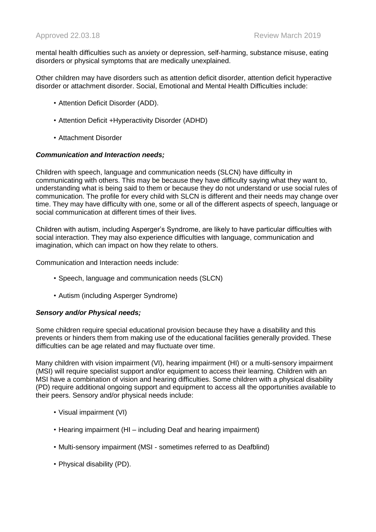mental health difficulties such as anxiety or depression, self-harming, substance misuse, eating disorders or physical symptoms that are medically unexplained.

Other children may have disorders such as attention deficit disorder, attention deficit hyperactive disorder or attachment disorder. Social, Emotional and Mental Health Difficulties include:

- Attention Deficit Disorder (ADD).
- Attention Deficit +Hyperactivity Disorder (ADHD)
- Attachment Disorder

#### *Communication and Interaction needs;*

Children with speech, language and communication needs (SLCN) have difficulty in communicating with others. This may be because they have difficulty saying what they want to, understanding what is being said to them or because they do not understand or use social rules of communication. The profile for every child with SLCN is different and their needs may change over time. They may have difficulty with one, some or all of the different aspects of speech, language or social communication at different times of their lives.

Children with autism, including Asperger's Syndrome, are likely to have particular difficulties with social interaction. They may also experience difficulties with language, communication and imagination, which can impact on how they relate to others.

Communication and Interaction needs include:

- Speech, language and communication needs (SLCN)
- Autism (including Asperger Syndrome)

## *Sensory and/or Physical needs;*

Some children require special educational provision because they have a disability and this prevents or hinders them from making use of the educational facilities generally provided. These difficulties can be age related and may fluctuate over time.

Many children with vision impairment (VI), hearing impairment (HI) or a multi-sensory impairment (MSI) will require specialist support and/or equipment to access their learning. Children with an MSI have a combination of vision and hearing difficulties. Some children with a physical disability (PD) require additional ongoing support and equipment to access all the opportunities available to their peers. Sensory and/or physical needs include:

- Visual impairment (VI)
- Hearing impairment (HI including Deaf and hearing impairment)
- Multi-sensory impairment (MSI sometimes referred to as Deafblind)
- Physical disability (PD).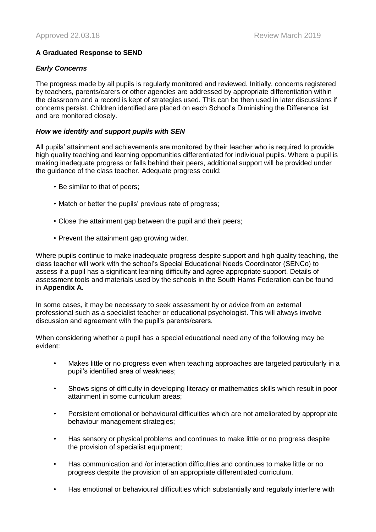## **A Graduated Response to SEND**

## *Early Concerns*

The progress made by all pupils is regularly monitored and reviewed. Initially, concerns registered by teachers, parents/carers or other agencies are addressed by appropriate differentiation within the classroom and a record is kept of strategies used. This can be then used in later discussions if concerns persist. Children identified are placed on each School's Diminishing the Difference list and are monitored closely.

## *How we identify and support pupils with SEN*

All pupils' attainment and achievements are monitored by their teacher who is required to provide high quality teaching and learning opportunities differentiated for individual pupils. Where a pupil is making inadequate progress or falls behind their peers, additional support will be provided under the guidance of the class teacher. Adequate progress could:

- Be similar to that of peers;
- Match or better the pupils' previous rate of progress;
- Close the attainment gap between the pupil and their peers;
- Prevent the attainment gap growing wider.

Where pupils continue to make inadequate progress despite support and high quality teaching, the class teacher will work with the school's Special Educational Needs Coordinator (SENCo) to assess if a pupil has a significant learning difficulty and agree appropriate support. Details of assessment tools and materials used by the schools in the South Hams Federation can be found in **Appendix A**.

In some cases, it may be necessary to seek assessment by or advice from an external professional such as a specialist teacher or educational psychologist. This will always involve discussion and agreement with the pupil's parents/carers.

When considering whether a pupil has a special educational need any of the following may be evident:

- Makes little or no progress even when teaching approaches are targeted particularly in a pupil's identified area of weakness;
- Shows signs of difficulty in developing literacy or mathematics skills which result in poor attainment in some curriculum areas;
- Persistent emotional or behavioural difficulties which are not ameliorated by appropriate behaviour management strategies;
- Has sensory or physical problems and continues to make little or no progress despite the provision of specialist equipment;
- Has communication and /or interaction difficulties and continues to make little or no progress despite the provision of an appropriate differentiated curriculum.
- Has emotional or behavioural difficulties which substantially and regularly interfere with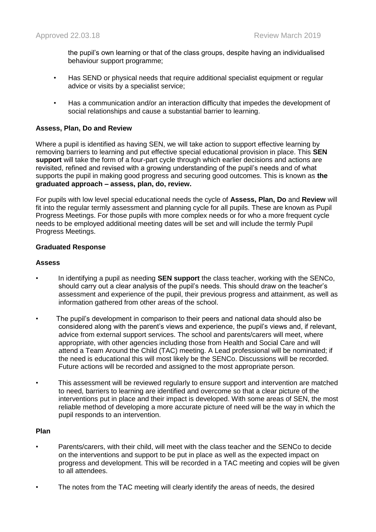the pupil's own learning or that of the class groups, despite having an individualised behaviour support programme;

- Has SEND or physical needs that require additional specialist equipment or regular advice or visits by a specialist service;
- Has a communication and/or an interaction difficulty that impedes the development of social relationships and cause a substantial barrier to learning.

## **Assess, Plan, Do and Review**

Where a pupil is identified as having SEN, we will take action to support effective learning by removing barriers to learning and put effective special educational provision in place. This **SEN support** will take the form of a four-part cycle through which earlier decisions and actions are revisited, refined and revised with a growing understanding of the pupil's needs and of what supports the pupil in making good progress and securing good outcomes. This is known as **the graduated approach – assess, plan, do, review.**

For pupils with low level special educational needs the cycle of **Assess, Plan, Do** and **Review** will fit into the regular termly assessment and planning cycle for all pupils. These are known as Pupil Progress Meetings. For those pupils with more complex needs or for who a more frequent cycle needs to be employed additional meeting dates will be set and will include the termly Pupil Progress Meetings.

#### **Graduated Response**

#### **Assess**

- In identifying a pupil as needing **SEN support** the class teacher, working with the SENCo, should carry out a clear analysis of the pupil's needs. This should draw on the teacher's assessment and experience of the pupil, their previous progress and attainment, as well as information gathered from other areas of the school.
- The pupil's development in comparison to their peers and national data should also be considered along with the parent's views and experience, the pupil's views and, if relevant, advice from external support services. The school and parents/carers will meet, where appropriate, with other agencies including those from Health and Social Care and will attend a Team Around the Child (TAC) meeting. A Lead professional will be nominated; if the need is educational this will most likely be the SENCo. Discussions will be recorded. Future actions will be recorded and assigned to the most appropriate person.
- This assessment will be reviewed regularly to ensure support and intervention are matched to need, barriers to learning are identified and overcome so that a clear picture of the interventions put in place and their impact is developed. With some areas of SEN, the most reliable method of developing a more accurate picture of need will be the way in which the pupil responds to an intervention.

#### **Plan**

- Parents/carers, with their child, will meet with the class teacher and the SENCo to decide on the interventions and support to be put in place as well as the expected impact on progress and development. This will be recorded in a TAC meeting and copies will be given to all attendees.
- The notes from the TAC meeting will clearly identify the areas of needs, the desired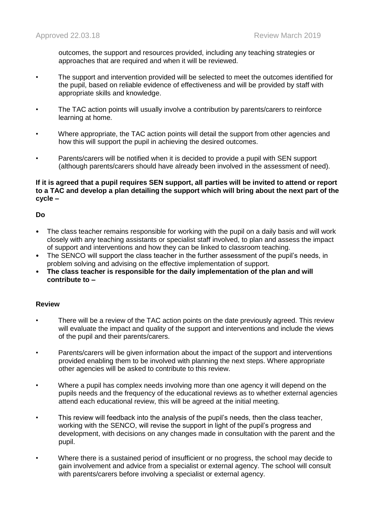outcomes, the support and resources provided, including any teaching strategies or approaches that are required and when it will be reviewed.

- The support and intervention provided will be selected to meet the outcomes identified for the pupil, based on reliable evidence of effectiveness and will be provided by staff with appropriate skills and knowledge.
- The TAC action points will usually involve a contribution by parents/carers to reinforce learning at home.
- Where appropriate, the TAC action points will detail the support from other agencies and how this will support the pupil in achieving the desired outcomes.
- Parents/carers will be notified when it is decided to provide a pupil with SEN support (although parents/carers should have already been involved in the assessment of need).

#### **If it is agreed that a pupil requires SEN support, all parties will be invited to attend or report to a TAC and develop a plan detailing the support which will bring about the next part of the cycle –**

## **Do**

- The class teacher remains responsible for working with the pupil on a daily basis and will work closely with any teaching assistants or specialist staff involved, to plan and assess the impact of support and interventions and how they can be linked to classroom teaching.
- The SENCO will support the class teacher in the further assessment of the pupil's needs, in problem solving and advising on the effective implementation of support.
- **The class teacher is responsible for the daily implementation of the plan and will contribute to –**

## **Review**

- There will be a review of the TAC action points on the date previously agreed. This review will evaluate the impact and quality of the support and interventions and include the views of the pupil and their parents/carers.
- Parents/carers will be given information about the impact of the support and interventions provided enabling them to be involved with planning the next steps. Where appropriate other agencies will be asked to contribute to this review.
- Where a pupil has complex needs involving more than one agency it will depend on the pupils needs and the frequency of the educational reviews as to whether external agencies attend each educational review, this will be agreed at the initial meeting.
- This review will feedback into the analysis of the pupil's needs, then the class teacher, working with the SENCO, will revise the support in light of the pupil's progress and development, with decisions on any changes made in consultation with the parent and the pupil.
- Where there is a sustained period of insufficient or no progress, the school may decide to gain involvement and advice from a specialist or external agency. The school will consult with parents/carers before involving a specialist or external agency.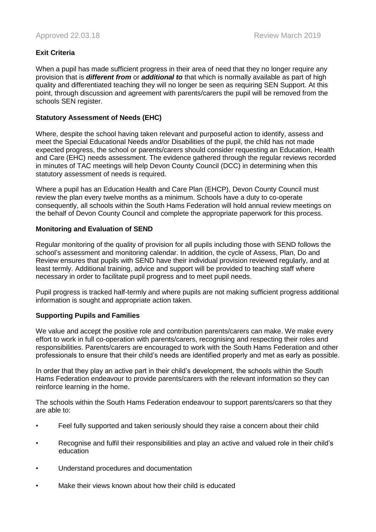## **Exit Criteria**

When a pupil has made sufficient progress in their area of need that they no longer require any provision that is *different from* or *additional to* that which is normally available as part of high quality and differentiated teaching they will no longer be seen as requiring SEN Support. At this point, through discussion and agreement with parents/carers the pupil will be removed from the schools SEN register.

## **Statutory Assessment of Needs (EHC)**

Where, despite the school having taken relevant and purposeful action to identify, assess and meet the Special Educational Needs and/or Disabilities of the pupil, the child has not made expected progress, the school or parents/carers should consider requesting an Education, Health and Care (EHC) needs assessment. The evidence gathered through the regular reviews recorded in minutes of TAC meetings will help Devon County Council (DCC) in determining when this statutory assessment of needs is required.

Where a pupil has an Education Health and Care Plan (EHCP), Devon County Council must review the plan every twelve months as a minimum. Schools have a duty to co-operate consequently, all schools within the South Hams Federation will hold annual review meetings on the behalf of Devon County Council and complete the appropriate paperwork for this process.

## **Monitoring and Evaluation of SEND**

Regular monitoring of the quality of provision for all pupils including those with SEND follows the school's assessment and monitoring calendar. In addition, the cycle of Assess, Plan, Do and Review ensures that pupils with SEND have their individual provision reviewed regularly, and at least termly. Additional training, advice and support will be provided to teaching staff where necessary in order to facilitate pupil progress and to meet pupil needs.

Pupil progress is tracked half-termly and where pupils are not making sufficient progress additional information is sought and appropriate action taken.

## **Supporting Pupils and Families**

We value and accept the positive role and contribution parents/carers can make. We make every effort to work in full co-operation with parents/carers, recognising and respecting their roles and responsibilities. Parents/carers are encouraged to work with the South Hams Federation and other professionals to ensure that their child's needs are identified properly and met as early as possible.

In order that they play an active part in their child's development, the schools within the South Hams Federation endeavour to provide parents/carers with the relevant information so they can reinforce learning in the home.

The schools within the South Hams Federation endeavour to support parents/carers so that they are able to:

- Feel fully supported and taken seriously should they raise a concern about their child
- Recognise and fulfil their responsibilities and play an active and valued role in their child's education
- Understand procedures and documentation
- Make their views known about how their child is educated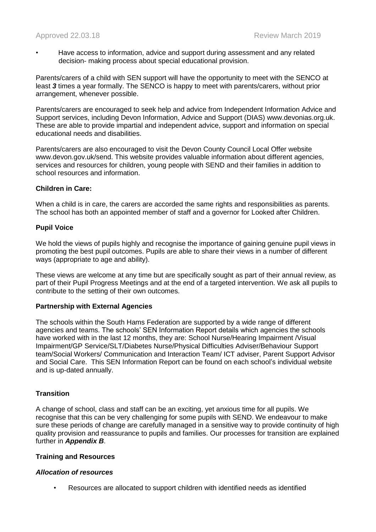• Have access to information, advice and support during assessment and any related decision- making process about special educational provision.

Parents/carers of a child with SEN support will have the opportunity to meet with the SENCO at least *3* times a year formally. The SENCO is happy to meet with parents/carers, without prior arrangement, whenever possible.

Parents/carers are encouraged to seek help and advice from Independent Information Advice and Support services, including Devon Information, Advice and Support (DIAS) www.devonias.org.uk. These are able to provide impartial and independent advice, support and information on special educational needs and disabilities.

Parents/carers are also encouraged to visit the Devon County Council Local Offer website www.devon.gov.uk/send. This website provides valuable information about different agencies, services and resources for children, young people with SEND and their families in addition to school resources and information.

## **Children in Care:**

When a child is in care, the carers are accorded the same rights and responsibilities as parents. The school has both an appointed member of staff and a governor for Looked after Children.

## **Pupil Voice**

We hold the views of pupils highly and recognise the importance of gaining genuine pupil views in promoting the best pupil outcomes. Pupils are able to share their views in a number of different ways (appropriate to age and ability).

These views are welcome at any time but are specifically sought as part of their annual review, as part of their Pupil Progress Meetings and at the end of a targeted intervention. We ask all pupils to contribute to the setting of their own outcomes.

## **Partnership with External Agencies**

The schools within the South Hams Federation are supported by a wide range of different agencies and teams. The schools' SEN Information Report details which agencies the schools have worked with in the last 12 months, they are: School Nurse/Hearing Impairment /Visual Impairment/GP Service/SLT/Diabetes Nurse/Physical Difficulties Adviser/Behaviour Support team/Social Workers/ Communication and Interaction Team/ ICT adviser, Parent Support Advisor and Social Care. This SEN Information Report can be found on each school's individual website and is up-dated annually.

## **Transition**

A change of school, class and staff can be an exciting, yet anxious time for all pupils. We recognise that this can be very challenging for some pupils with SEND. We endeavour to make sure these periods of change are carefully managed in a sensitive way to provide continuity of high quality provision and reassurance to pupils and families. Our processes for transition are explained further in *Appendix B*.

## **Training and Resources**

#### *Allocation of resources*

• Resources are allocated to support children with identified needs as identified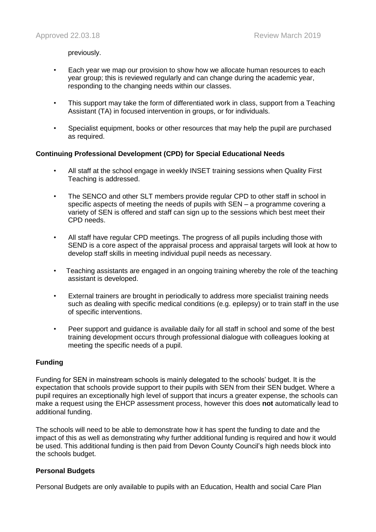previously.

- Each year we map our provision to show how we allocate human resources to each year group; this is reviewed regularly and can change during the academic year, responding to the changing needs within our classes.
- This support may take the form of differentiated work in class, support from a Teaching Assistant (TA) in focused intervention in groups, or for individuals.
- Specialist equipment, books or other resources that may help the pupil are purchased as required.

## **Continuing Professional Development (CPD) for Special Educational Needs**

- All staff at the school engage in weekly INSET training sessions when Quality First Teaching is addressed.
- The SENCO and other SLT members provide regular CPD to other staff in school in specific aspects of meeting the needs of pupils with SEN – a programme covering a variety of SEN is offered and staff can sign up to the sessions which best meet their CPD needs.
- All staff have regular CPD meetings. The progress of all pupils including those with SEND is a core aspect of the appraisal process and appraisal targets will look at how to develop staff skills in meeting individual pupil needs as necessary.
- Teaching assistants are engaged in an ongoing training whereby the role of the teaching assistant is developed.
- External trainers are brought in periodically to address more specialist training needs such as dealing with specific medical conditions (e.g. epilepsy) or to train staff in the use of specific interventions.
- Peer support and guidance is available daily for all staff in school and some of the best training development occurs through professional dialogue with colleagues looking at meeting the specific needs of a pupil.

## **Funding**

Funding for SEN in mainstream schools is mainly delegated to the schools' budget. It is the expectation that schools provide support to their pupils with SEN from their SEN budget. Where a pupil requires an exceptionally high level of support that incurs a greater expense, the schools can make a request using the EHCP assessment process, however this does **not** automatically lead to additional funding.

The schools will need to be able to demonstrate how it has spent the funding to date and the impact of this as well as demonstrating why further additional funding is required and how it would be used. This additional funding is then paid from Devon County Council's high needs block into the schools budget.

## **Personal Budgets**

Personal Budgets are only available to pupils with an Education, Health and social Care Plan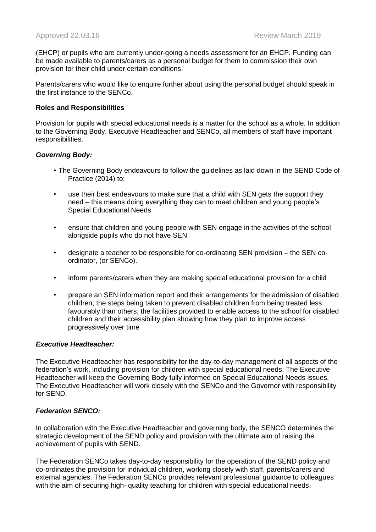(EHCP) or pupils who are currently under-going a needs assessment for an EHCP. Funding can be made available to parents/carers as a personal budget for them to commission their own provision for their child under certain conditions.

Parents/carers who would like to enquire further about using the personal budget should speak in the first instance to the SENCo.

#### **Roles and Responsibilities**

Provision for pupils with special educational needs is a matter for the school as a whole. In addition to the Governing Body, Executive Headteacher and SENCo, all members of staff have important responsibilities.

#### *Governing Body:*

- The Governing Body endeavours to follow the guidelines as laid down in the SEND Code of Practice (2014) to:
- use their best endeavours to make sure that a child with SEN gets the support they need – this means doing everything they can to meet children and young people's Special Educational Needs
- ensure that children and young people with SEN engage in the activities of the school alongside pupils who do not have SEN
- designate a teacher to be responsible for co-ordinating SEN provision the SEN coordinator, (or SENCo).
- inform parents/carers when they are making special educational provision for a child
- prepare an SEN information report and their arrangements for the admission of disabled children, the steps being taken to prevent disabled children from being treated less favourably than others, the facilities provided to enable access to the school for disabled children and their accessibility plan showing how they plan to improve access progressively over time

#### *Executive Headteacher:*

The Executive Headteacher has responsibility for the day-to-day management of all aspects of the federation's work, including provision for children with special educational needs. The Executive Headteacher will keep the Governing Body fully informed on Special Educational Needs issues. The Executive Headteacher will work closely with the SENCo and the Governor with responsibility for SEND.

## *Federation SENCO:*

In collaboration with the Executive Headteacher and governing body, the SENCO determines the strategic development of the SEND policy and provision with the ultimate aim of raising the achievement of pupils with SEND.

The Federation SENCo takes day-to-day responsibility for the operation of the SEND policy and co-ordinates the provision for individual children, working closely with staff, parents/carers and external agencies. The Federation SENCo provides relevant professional guidance to colleagues with the aim of securing high- quality teaching for children with special educational needs.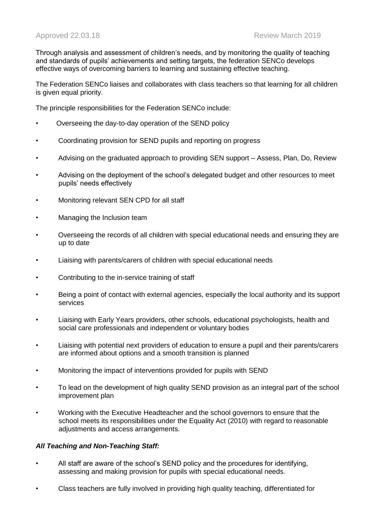Through analysis and assessment of children's needs, and by monitoring the quality of teaching and standards of pupils' achievements and setting targets, the federation SENCo develops effective ways of overcoming barriers to learning and sustaining effective teaching.

The Federation SENCo liaises and collaborates with class teachers so that learning for all children is given equal priority.

The principle responsibilities for the Federation SENCo include:

- Overseeing the day-to-day operation of the SEND policy
- Coordinating provision for SEND pupils and reporting on progress
- Advising on the graduated approach to providing SEN support Assess, Plan, Do, Review
- Advising on the deployment of the school's delegated budget and other resources to meet pupils' needs effectively
- Monitoring relevant SEN CPD for all staff
- Managing the Inclusion team
- Overseeing the records of all children with special educational needs and ensuring they are up to date
- Liaising with parents/carers of children with special educational needs
- Contributing to the in-service training of staff
- Being a point of contact with external agencies, especially the local authority and its support services
- Liaising with Early Years providers, other schools, educational psychologists, health and social care professionals and independent or voluntary bodies
- Liaising with potential next providers of education to ensure a pupil and their parents/carers are informed about options and a smooth transition is planned
- Monitoring the impact of interventions provided for pupils with SEND
- To lead on the development of high quality SEND provision as an integral part of the school improvement plan
- Working with the Executive Headteacher and the school governors to ensure that the school meets its responsibilities under the Equality Act (2010) with regard to reasonable adjustments and access arrangements.

#### *All Teaching and Non-Teaching Staff:*

- All staff are aware of the school's SEND policy and the procedures for identifying, assessing and making provision for pupils with special educational needs.
- Class teachers are fully involved in providing high quality teaching, differentiated for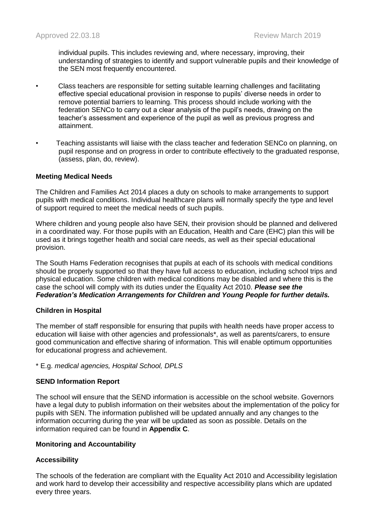individual pupils. This includes reviewing and, where necessary, improving, their understanding of strategies to identify and support vulnerable pupils and their knowledge of the SEN most frequently encountered.

- Class teachers are responsible for setting suitable learning challenges and facilitating effective special educational provision in response to pupils' diverse needs in order to remove potential barriers to learning. This process should include working with the federation SENCo to carry out a clear analysis of the pupil's needs, drawing on the teacher's assessment and experience of the pupil as well as previous progress and attainment.
- Teaching assistants will liaise with the class teacher and federation SENCo on planning, on pupil response and on progress in order to contribute effectively to the graduated response, (assess, plan, do, review).

## **Meeting Medical Needs**

The Children and Families Act 2014 places a duty on schools to make arrangements to support pupils with medical conditions. Individual healthcare plans will normally specify the type and level of support required to meet the medical needs of such pupils.

Where children and young people also have SEN, their provision should be planned and delivered in a coordinated way. For those pupils with an Education, Health and Care (EHC) plan this will be used as it brings together health and social care needs, as well as their special educational provision.

The South Hams Federation recognises that pupils at each of its schools with medical conditions should be properly supported so that they have full access to education, including school trips and physical education. Some children with medical conditions may be disabled and where this is the case the school will comply with its duties under the Equality Act 2010. *Please see the Federation's Medication Arrangements for Children and Young People for further details.*

## **Children in Hospital**

The member of staff responsible for ensuring that pupils with health needs have proper access to education will liaise with other agencies and professionals\*, as well as parents/carers, to ensure good communication and effective sharing of information. This will enable optimum opportunities for educational progress and achievement.

\* E.g. *medical agencies, Hospital School, DPLS*

## **SEND Information Report**

The school will ensure that the SEND information is accessible on the school website. Governors have a legal duty to publish information on their websites about the implementation of the policy for pupils with SEN. The information published will be updated annually and any changes to the information occurring during the year will be updated as soon as possible. Details on the information required can be found in **Appendix C**.

## **Monitoring and Accountability**

## **Accessibility**

The schools of the federation are compliant with the Equality Act 2010 and Accessibility legislation and work hard to develop their accessibility and respective accessibility plans which are updated every three years.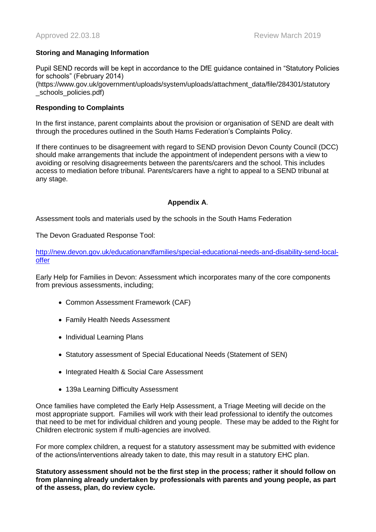## **Storing and Managing Information**

Pupil SEND records will be kept in accordance to the DfE guidance contained in "Statutory Policies for schools" (February 2014) (https://www.gov.uk/government/uploads/system/uploads/attachment\_data/file/284301/statutory schools\_policies.pdf)

## **Responding to Complaints**

In the first instance, parent complaints about the provision or organisation of SEND are dealt with through the procedures outlined in the South Hams Federation's Complaints Policy.

If there continues to be disagreement with regard to SEND provision Devon County Council (DCC) should make arrangements that include the appointment of independent persons with a view to avoiding or resolving disagreements between the parents/carers and the school. This includes access to mediation before tribunal. Parents/carers have a right to appeal to a SEND tribunal at any stage.

## **Appendix A**.

Assessment tools and materials used by the schools in the South Hams Federation

The Devon Graduated Response Tool:

[http://new.devon.gov.uk/educationandfamilies/special-educational-needs-and-disability-send-local](http://new.devon.gov.uk/educationandfamilies/special-educational-needs-and-disability-send-local-offer)[offer](http://new.devon.gov.uk/educationandfamilies/special-educational-needs-and-disability-send-local-offer)

Early Help for Families in Devon: Assessment which incorporates many of the core components from previous assessments, including;

- Common Assessment Framework (CAF)
- Family Health Needs Assessment
- Individual Learning Plans
- Statutory assessment of Special Educational Needs (Statement of SEN)
- Integrated Health & Social Care Assessment
- 139a Learning Difficulty Assessment

Once families have completed the Early Help Assessment, a Triage Meeting will decide on the most appropriate support. Families will work with their lead professional to identify the outcomes that need to be met for individual children and young people. These may be added to the Right for Children electronic system if multi-agencies are involved.

For more complex children, a request for a statutory assessment may be submitted with evidence of the actions/interventions already taken to date, this may result in a statutory EHC plan.

**Statutory assessment should not be the first step in the process; rather it should follow on from planning already undertaken by professionals with parents and young people, as part of the assess, plan, do review cycle.**